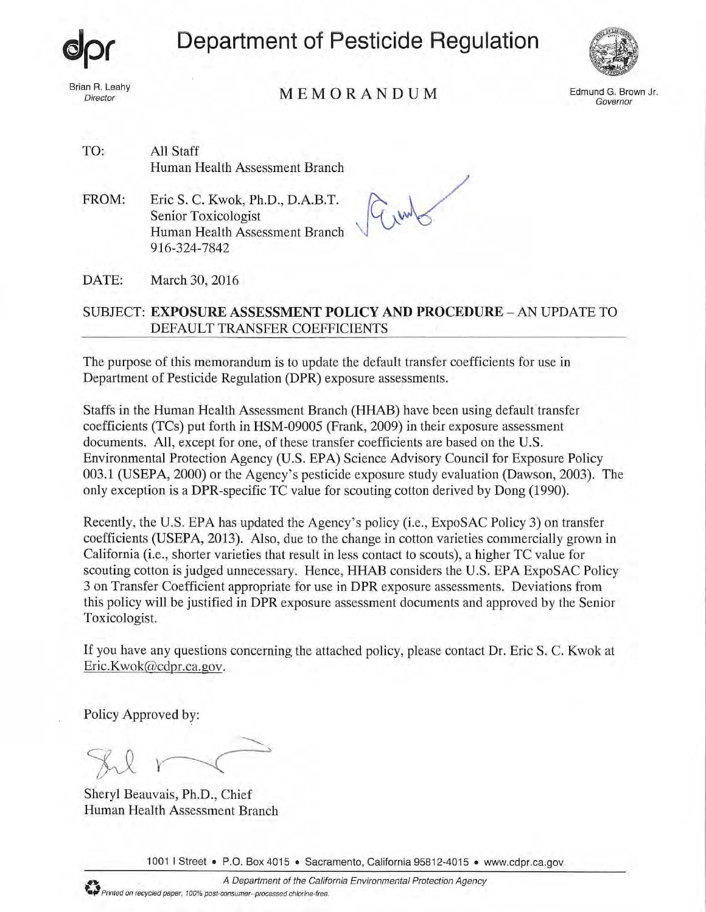

Brian R. Leahy

**Department of Pesticide Regulation** 



In R. Leahy<br>Director  $M E M O R A N D U M$  Edmund G. Brown Jr.

Governor

TO: All Staff Human Health Assessment Branch

FROM: Eric S. C. Kwok, Ph.D., D.A.B.T. Senior Toxicologist Human Health Assessment Branch 916-324-7842

 $G_{\mu\nu}$ ~\:5

DATE: March 30, 2016

## SUBJECT: **EXPOSURE ASSESSMENT POLICY AND PROCEDURE** - AN UPDATE TO DEFAULT TRANSFER COEFFICIENTS

The purpose of this memorandum is to update the default transfer coefficients for use in Department of Pesticide Regulation (DPR) exposure assessments.

Staffs in the Human Health Assessment Branch (HHAB) have been using default'transfer coefficients (TCs) put forth in HSM-09005 (Frank, 2009) in their exposure assessment documents. All, except for one, of these transfer coefficients are based on the U.S. Environmental Protection Agency (U.S. EPA) Science Advisory Council for Exposure Policy 003.1 (USEPA, 2000) or the Agency's pesticide exposure study evaluation (Dawson, 2003). The only exception is a DPR-specific TC value for scouting cotton derived by Dong (1990).

Recently, the U.S. EPA has updated the Agency's policy (i.e., ExpoSAC Policy 3) on transfer coefficients (USEPA, 2013). Also, due to the change in cotton varieties commercially grown in California (i.e., shorter varieties that result in less contact to scouts), a higher TC value for scouting cotton is judged unnecessary. Hence, HHAB considers the U.S. EPA ExpoSAC Policy 3 on Transfer Coefficient appropriate for use in DPR exposure assessments. Deviations from this policy will be justified in DPR exposure assessment documents and approved by the Senior Toxicologist.

If you have any questions concerning the attached policy, please contact Dr. Eric S. C. Kwok at Eric.Kwok@cdpr.ca.gov.

Policy Approved by:

Sheryl Beauvais, Ph.D., Chief Human Health Assessment Branch

1001 I Street • P.O. Box 4015 • Sacramento, California 95812-4015 • www.cdpr.ca.gov